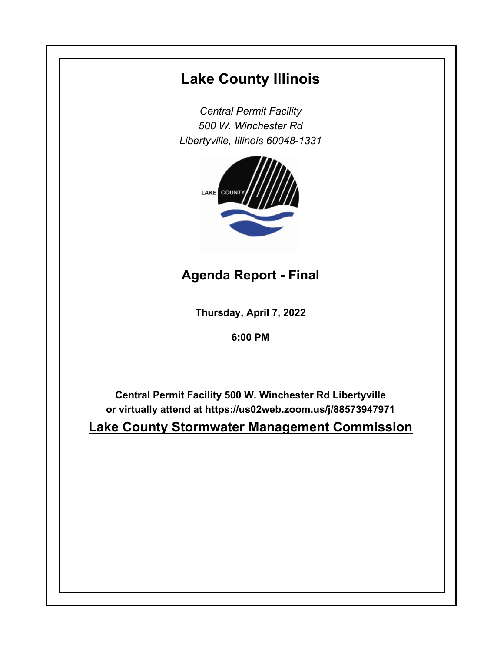## **Lake County Illinois**

*Central Permit Facility 500 W. Winchester Rd Libertyville, Illinois 60048-1331*



**Agenda Report - Final**

**Thursday, April 7, 2022**

**6:00 PM**

**Central Permit Facility 500 W. Winchester Rd Libertyville or virtually attend at https://us02web.zoom.us/j/88573947971**

**Lake County Stormwater Management Commission**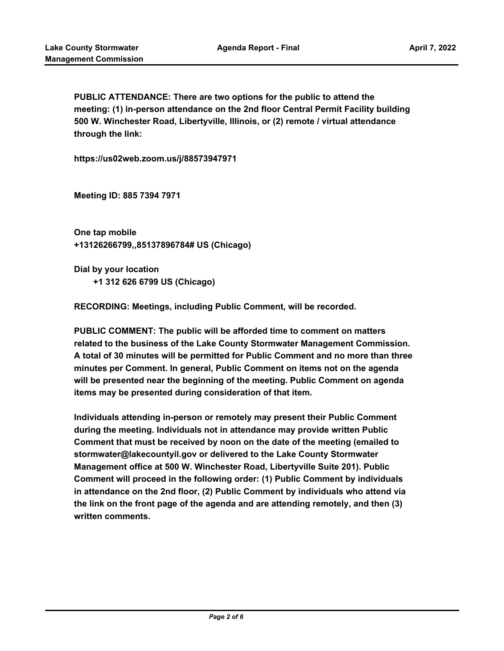**PUBLIC ATTENDANCE: There are two options for the public to attend the meeting: (1) in-person attendance on the 2nd floor Central Permit Facility building 500 W. Winchester Road, Libertyville, Illinois, or (2) remote / virtual attendance through the link:**

**https://us02web.zoom.us/j/88573947971** 

**Meeting ID: 885 7394 7971** 

**One tap mobile +13126266799,,85137896784# US (Chicago)**

**Dial by your location +1 312 626 6799 US (Chicago)**

**RECORDING: Meetings, including Public Comment, will be recorded.**

**PUBLIC COMMENT: The public will be afforded time to comment on matters related to the business of the Lake County Stormwater Management Commission. A total of 30 minutes will be permitted for Public Comment and no more than three minutes per Comment. In general, Public Comment on items not on the agenda will be presented near the beginning of the meeting. Public Comment on agenda items may be presented during consideration of that item.**

**Individuals attending in-person or remotely may present their Public Comment during the meeting. Individuals not in attendance may provide written Public Comment that must be received by noon on the date of the meeting (emailed to stormwater@lakecountyil.gov or delivered to the Lake County Stormwater Management office at 500 W. Winchester Road, Libertyville Suite 201). Public Comment will proceed in the following order: (1) Public Comment by individuals in attendance on the 2nd floor, (2) Public Comment by individuals who attend via the link on the front page of the agenda and are attending remotely, and then (3) written comments.**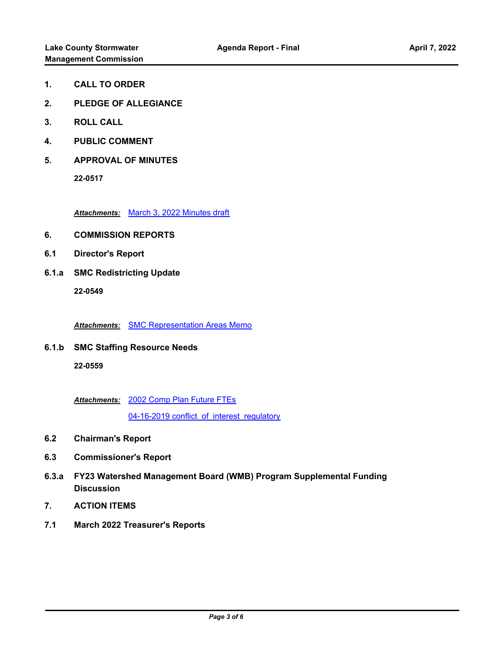- **1. CALL TO ORDER**
- **2. PLEDGE OF ALLEGIANCE**
- **3. ROLL CALL**
- **4. PUBLIC COMMENT**
- **5. APPROVAL OF MINUTES**

*Attachments:* [March 3, 2022 Minutes draft](http://lakecounty.legistar.com/gateway.aspx?M=F&ID=d3af391e-a45a-42ab-8fbc-9363b1544cb0.pdf)

- **6. COMMISSION REPORTS**
- **6.1 Director's Report**
- **6.1.a SMC Redistricting Update**

**22-0549**

*Attachments:* [SMC Representation Areas Memo](http://lakecounty.legistar.com/gateway.aspx?M=F&ID=8a9fb985-0cfc-49b6-8f2c-44332fb33421.pdf)

**6.1.b SMC Staffing Resource Needs 22-0559**

[2002 Comp Plan Future FTEs](http://lakecounty.legistar.com/gateway.aspx?M=F&ID=d258bc86-26a6-4190-8416-9943ba16e8ac.pdf) *Attachments:*

04-16-2019 conflict of interest regulatory

- **6.2 Chairman's Report**
- **6.3 Commissioner's Report**
- **6.3.a FY23 Watershed Management Board (WMB) Program Supplemental Funding Discussion**
- **7. ACTION ITEMS**
- **7.1 March 2022 Treasurer's Reports**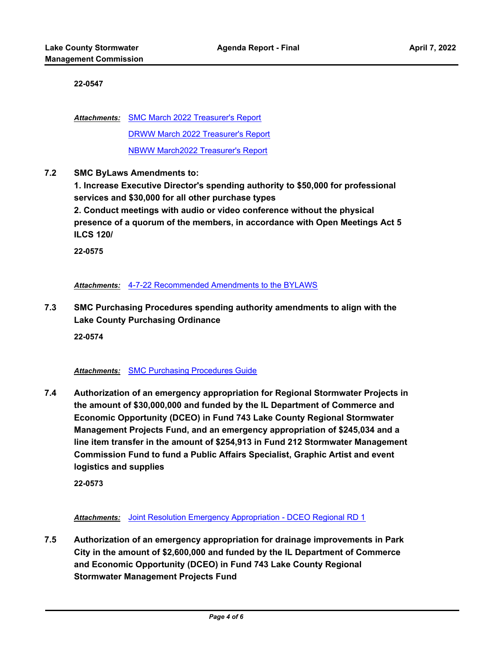[SMC March 2022 Treasurer's Report](http://lakecounty.legistar.com/gateway.aspx?M=F&ID=3067e766-7712-4c52-95ab-93ccade47c67.pdf) *Attachments:* [DRWW March 2022 Treasurer's Report](http://lakecounty.legistar.com/gateway.aspx?M=F&ID=61691c3b-8a35-467b-944d-4a53f2967bd7.pdf) [NBWW March2022 Treasurer's Report](http://lakecounty.legistar.com/gateway.aspx?M=F&ID=9fc66250-3c1a-47de-858c-7a27d1c57e5b.pdf)

**7.2 SMC ByLaws Amendments to:** 

**1. Increase Executive Director's spending authority to \$50,000 for professional services and \$30,000 for all other purchase types**

**2. Conduct meetings with audio or video conference without the physical presence of a quorum of the members, in accordance with Open Meetings Act 5 ILCS 120/**

**22-0575**

*Attachments:* [4-7-22 Recommended Amendments to the BYLAWS](http://lakecounty.legistar.com/gateway.aspx?M=F&ID=be4fd726-f568-4444-b48f-986b8eb479c8.pdf)

**7.3 SMC Purchasing Procedures spending authority amendments to align with the Lake County Purchasing Ordinance**

**22-0574**

## *Attachments:* [SMC Purchasing Procedures Guide](http://lakecounty.legistar.com/gateway.aspx?M=F&ID=62de3b71-369d-4245-b460-52e80a63003b.pdf)

**7.4 Authorization of an emergency appropriation for Regional Stormwater Projects in the amount of \$30,000,000 and funded by the IL Department of Commerce and Economic Opportunity (DCEO) in Fund 743 Lake County Regional Stormwater Management Projects Fund, and an emergency appropriation of \$245,034 and a line item transfer in the amount of \$254,913 in Fund 212 Stormwater Management Commission Fund to fund a Public Affairs Specialist, Graphic Artist and event logistics and supplies**

**22-0573**

*Attachments:* [Joint Resolution Emergency Appropriation - DCEO Regional RD 1](http://lakecounty.legistar.com/gateway.aspx?M=F&ID=067f2845-2b8f-4b5e-ac78-27cfef625a68.pdf)

**7.5 Authorization of an emergency appropriation for drainage improvements in Park City in the amount of \$2,600,000 and funded by the IL Department of Commerce and Economic Opportunity (DCEO) in Fund 743 Lake County Regional Stormwater Management Projects Fund**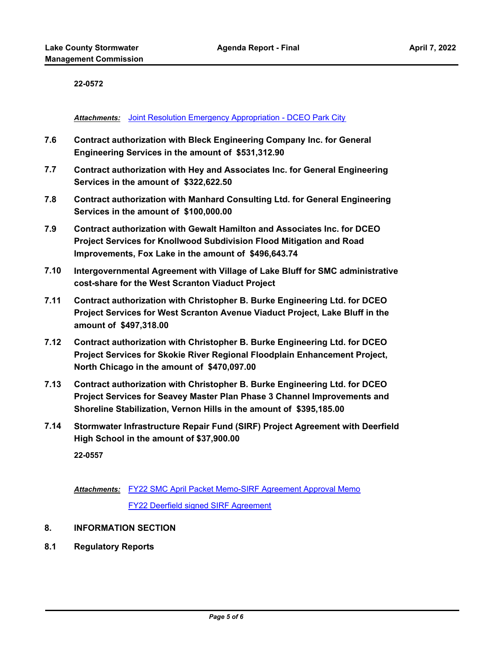**Attachments:** [Joint Resolution Emergency Appropriation - DCEO Park City](http://lakecounty.legistar.com/gateway.aspx?M=F&ID=2f7873fb-8d9a-4d38-87a8-4c0d4adcf290.pdf)

- **7.6 Contract authorization with Bleck Engineering Company Inc. for General Engineering Services in the amount of \$531,312.90**
- **7.7 Contract authorization with Hey and Associates Inc. for General Engineering Services in the amount of \$322,622.50**
- **7.8 Contract authorization with Manhard Consulting Ltd. for General Engineering Services in the amount of \$100,000.00**
- **7.9 Contract authorization with Gewalt Hamilton and Associates Inc. for DCEO Project Services for Knollwood Subdivision Flood Mitigation and Road Improvements, Fox Lake in the amount of \$496,643.74**
- **7.10 Intergovernmental Agreement with Village of Lake Bluff for SMC administrative cost-share for the West Scranton Viaduct Project**
- **7.11 Contract authorization with Christopher B. Burke Engineering Ltd. for DCEO Project Services for West Scranton Avenue Viaduct Project, Lake Bluff in the amount of \$497,318.00**
- **7.12 Contract authorization with Christopher B. Burke Engineering Ltd. for DCEO Project Services for Skokie River Regional Floodplain Enhancement Project, North Chicago in the amount of \$470,097.00**
- **7.13 Contract authorization with Christopher B. Burke Engineering Ltd. for DCEO Project Services for Seavey Master Plan Phase 3 Channel Improvements and Shoreline Stabilization, Vernon Hills in the amount of \$395,185.00**
- **7.14 Stormwater Infrastructure Repair Fund (SIRF) Project Agreement with Deerfield High School in the amount of \$37,900.00**

**22-0557**

Attachments: [FY22 SMC April Packet Memo-SIRF Agreement Approval Memo](http://lakecounty.legistar.com/gateway.aspx?M=F&ID=a79f9e20-08a5-4331-bfa8-eef3a5165b78.pdf) [FY22 Deerfield signed SIRF Agreement](http://lakecounty.legistar.com/gateway.aspx?M=F&ID=1b2d19f4-29c0-414e-b7b1-7dcd7b8d6cd2.pdf)

- **8. INFORMATION SECTION**
- **8.1 Regulatory Reports**